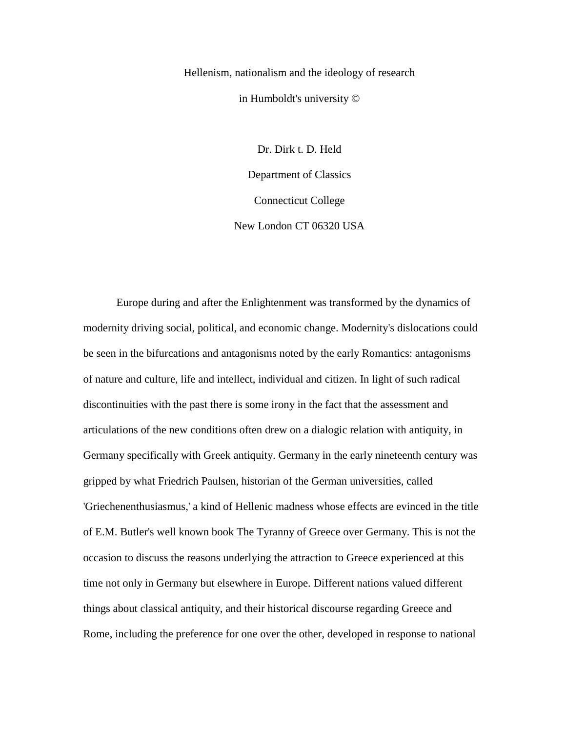Hellenism, nationalism and the ideology of research in Humboldt's university ©

> Dr. Dirk t. D. Held Department of Classics Connecticut College New London CT 06320 USA

Europe during and after the Enlightenment was transformed by the dynamics of modernity driving social, political, and economic change. Modernity's dislocations could be seen in the bifurcations and antagonisms noted by the early Romantics: antagonisms of nature and culture, life and intellect, individual and citizen. In light of such radical discontinuities with the past there is some irony in the fact that the assessment and articulations of the new conditions often drew on a dialogic relation with antiquity, in Germany specifically with Greek antiquity. Germany in the early nineteenth century was gripped by what Friedrich Paulsen, historian of the German universities, called 'Griechenenthusiasmus,' a kind of Hellenic madness whose effects are evinced in the title of E.M. Butler's well known book The Tyranny of Greece over Germany. This is not the occasion to discuss the reasons underlying the attraction to Greece experienced at this time not only in Germany but elsewhere in Europe. Different nations valued different things about classical antiquity, and their historical discourse regarding Greece and Rome, including the preference for one over the other, developed in response to national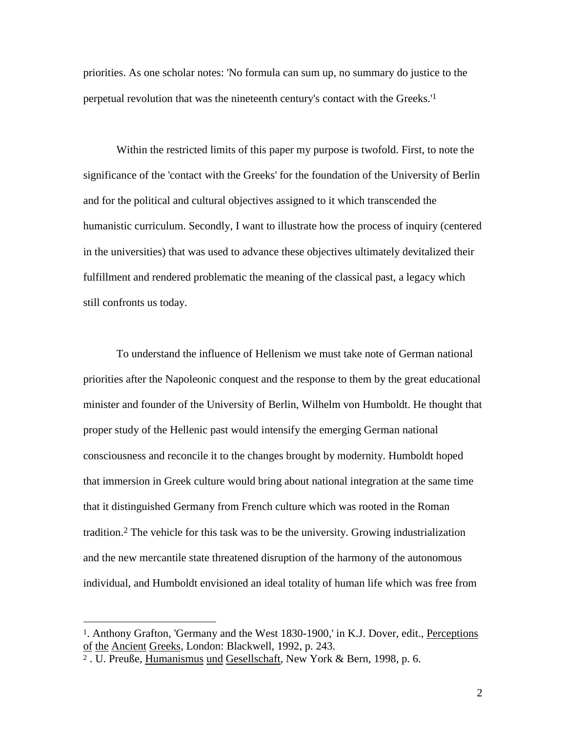priorities. As one scholar notes: 'No formula can sum up, no summary do justice to the perpetual revolution that was the nineteenth century's contact with the Greeks.'1

Within the restricted limits of this paper my purpose is twofold. First, to note the significance of the 'contact with the Greeks' for the foundation of the University of Berlin and for the political and cultural objectives assigned to it which transcended the humanistic curriculum. Secondly, I want to illustrate how the process of inquiry (centered in the universities) that was used to advance these objectives ultimately devitalized their fulfillment and rendered problematic the meaning of the classical past, a legacy which still confronts us today.

To understand the influence of Hellenism we must take note of German national priorities after the Napoleonic conquest and the response to them by the great educational minister and founder of the University of Berlin, Wilhelm von Humboldt. He thought that proper study of the Hellenic past would intensify the emerging German national consciousness and reconcile it to the changes brought by modernity. Humboldt hoped that immersion in Greek culture would bring about national integration at the same time that it distinguished Germany from French culture which was rooted in the Roman tradition.2 The vehicle for this task was to be the university. Growing industrialization and the new mercantile state threatened disruption of the harmony of the autonomous individual, and Humboldt envisioned an ideal totality of human life which was free from

<sup>1.</sup> Anthony Grafton, 'Germany and the West 1830-1900,' in K.J. Dover, edit., Perceptions of the Ancient Greeks, London: Blackwell, 1992, p. 243.

<sup>&</sup>lt;sup>2</sup>. U. Preuße, Humanismus und Gesellschaft, New York & Bern, 1998, p. 6.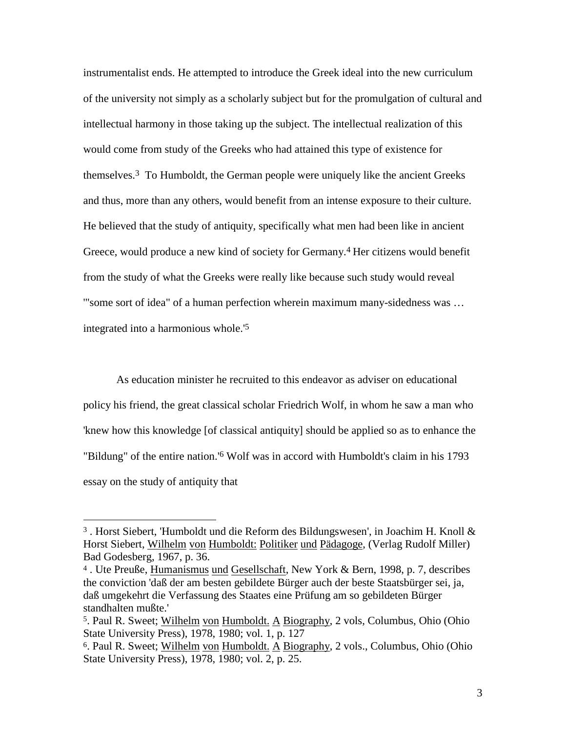instrumentalist ends. He attempted to introduce the Greek ideal into the new curriculum of the university not simply as a scholarly subject but for the promulgation of cultural and intellectual harmony in those taking up the subject. The intellectual realization of this would come from study of the Greeks who had attained this type of existence for themselves.3 To Humboldt, the German people were uniquely like the ancient Greeks and thus, more than any others, would benefit from an intense exposure to their culture. He believed that the study of antiquity, specifically what men had been like in ancient Greece, would produce a new kind of society for Germany.4 Her citizens would benefit from the study of what the Greeks were really like because such study would reveal '"some sort of idea" of a human perfection wherein maximum many-sidedness was … integrated into a harmonious whole.'5

As education minister he recruited to this endeavor as adviser on educational policy his friend, the great classical scholar Friedrich Wolf, in whom he saw a man who 'knew how this knowledge [of classical antiquity] should be applied so as to enhance the "Bildung" of the entire nation.'6 Wolf was in accord with Humboldt's claim in his 1793 essay on the study of antiquity that

<sup>&</sup>lt;sup>3</sup>. Horst Siebert, 'Humboldt und die Reform des Bildungswesen', in Joachim H. Knoll  $\&$ Horst Siebert, Wilhelm von Humboldt: Politiker und Pädagoge, (Verlag Rudolf Miller) Bad Godesberg, 1967, p. 36.

<sup>4 .</sup> Ute Preuße, Humanismus und Gesellschaft, New York & Bern, 1998, p. 7, describes the conviction 'daß der am besten gebildete Bürger auch der beste Staatsbürger sei, ja, daß umgekehrt die Verfassung des Staates eine Prüfung am so gebildeten Bürger standhalten mußte.'

<sup>5.</sup> Paul R. Sweet; Wilhelm von Humboldt. A Biography, 2 vols, Columbus, Ohio (Ohio State University Press), 1978, 1980; vol. 1, p. 127

<sup>6.</sup> Paul R. Sweet; Wilhelm von Humboldt. A Biography, 2 vols., Columbus, Ohio (Ohio State University Press), 1978, 1980; vol. 2, p. 25.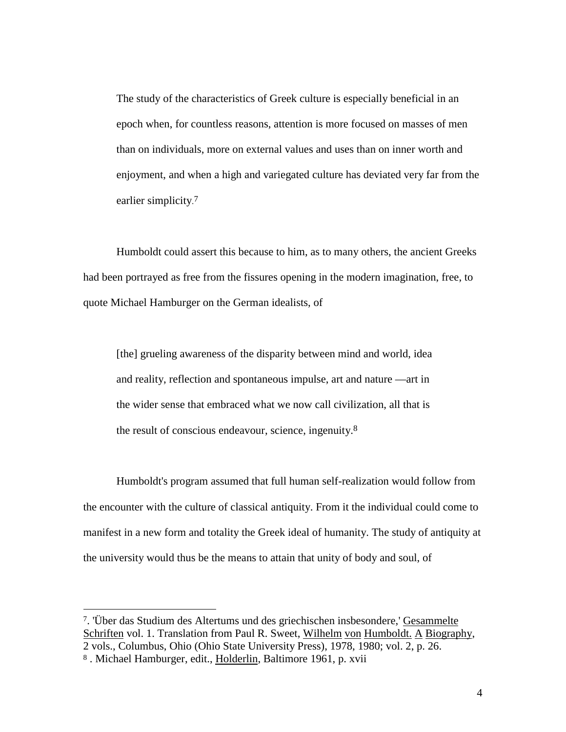The study of the characteristics of Greek culture is especially beneficial in an epoch when, for countless reasons, attention is more focused on masses of men than on individuals, more on external values and uses than on inner worth and enjoyment, and when a high and variegated culture has deviated very far from the earlier simplicity.<sup>7</sup>

Humboldt could assert this because to him, as to many others, the ancient Greeks had been portrayed as free from the fissures opening in the modern imagination, free, to quote Michael Hamburger on the German idealists, of

[the] grueling awareness of the disparity between mind and world, idea and reality, reflection and spontaneous impulse, art and nature —art in the wider sense that embraced what we now call civilization, all that is the result of conscious endeavour, science, ingenuity.8

Humboldt's program assumed that full human self-realization would follow from the encounter with the culture of classical antiquity. From it the individual could come to manifest in a new form and totality the Greek ideal of humanity. The study of antiquity at the university would thus be the means to attain that unity of body and soul, of

<sup>7. &#</sup>x27;Über das Studium des Altertums und des griechischen insbesondere,' Gesammelte Schriften vol. 1. Translation from Paul R. Sweet, Wilhelm von Humboldt. A Biography, 2 vols., Columbus, Ohio (Ohio State University Press), 1978, 1980; vol. 2, p. 26.

<sup>8.</sup> Michael Hamburger, edit., Holderlin, Baltimore 1961, p. xvii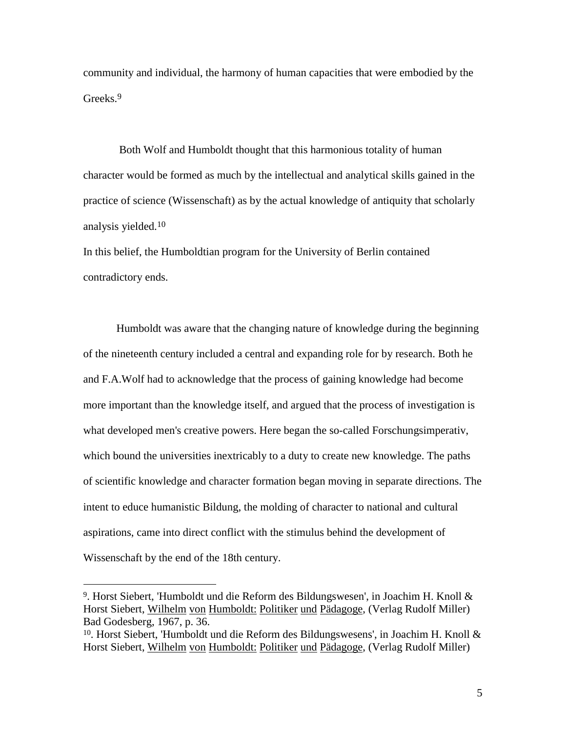community and individual, the harmony of human capacities that were embodied by the Greeks.9

 Both Wolf and Humboldt thought that this harmonious totality of human character would be formed as much by the intellectual and analytical skills gained in the practice of science (Wissenschaft) as by the actual knowledge of antiquity that scholarly analysis yielded.10

In this belief, the Humboldtian program for the University of Berlin contained contradictory ends.

Humboldt was aware that the changing nature of knowledge during the beginning of the nineteenth century included a central and expanding role for by research. Both he and F.A.Wolf had to acknowledge that the process of gaining knowledge had become more important than the knowledge itself, and argued that the process of investigation is what developed men's creative powers. Here began the so-called Forschungsimperativ, which bound the universities inextricably to a duty to create new knowledge. The paths of scientific knowledge and character formation began moving in separate directions. The intent to educe humanistic Bildung, the molding of character to national and cultural aspirations, came into direct conflict with the stimulus behind the development of Wissenschaft by the end of the 18th century.

<sup>&</sup>lt;sup>9</sup>. Horst Siebert, 'Humboldt und die Reform des Bildungswesen', in Joachim H. Knoll  $\&$ Horst Siebert, Wilhelm von Humboldt: Politiker und Pädagoge, (Verlag Rudolf Miller) Bad Godesberg, 1967, p. 36.

<sup>10.</sup> Horst Siebert, 'Humboldt und die Reform des Bildungswesens', in Joachim H. Knoll & Horst Siebert, Wilhelm von Humboldt: Politiker und Pädagoge, (Verlag Rudolf Miller)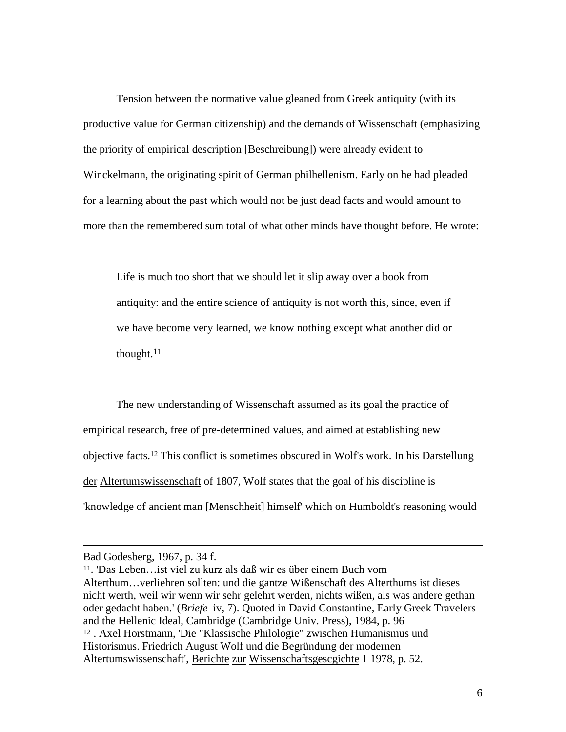Tension between the normative value gleaned from Greek antiquity (with its productive value for German citizenship) and the demands of Wissenschaft (emphasizing the priority of empirical description [Beschreibung]) were already evident to Winckelmann, the originating spirit of German philhellenism. Early on he had pleaded for a learning about the past which would not be just dead facts and would amount to more than the remembered sum total of what other minds have thought before. He wrote:

Life is much too short that we should let it slip away over a book from antiquity: and the entire science of antiquity is not worth this, since, even if we have become very learned, we know nothing except what another did or thought.11

The new understanding of Wissenschaft assumed as its goal the practice of empirical research, free of pre-determined values, and aimed at establishing new objective facts.12 This conflict is sometimes obscured in Wolf's work. In his Darstellung der Altertumswissenschaft of 1807, Wolf states that the goal of his discipline is 'knowledge of ancient man [Menschheit] himself' which on Humboldt's reasoning would

Bad Godesberg, 1967, p. 34 f.

<sup>11. &#</sup>x27;Das Leben…ist viel zu kurz als daß wir es über einem Buch vom Alterthum…verliehren sollten: und die gantze Wißenschaft des Alterthums ist dieses nicht werth, weil wir wenn wir sehr gelehrt werden, nichts wißen, als was andere gethan oder gedacht haben.' (*Briefe* iv, 7). Quoted in David Constantine, Early Greek Travelers and the Hellenic Ideal, Cambridge (Cambridge Univ. Press), 1984, p. 96 12 . Axel Horstmann, 'Die "Klassische Philologie" zwischen Humanismus und Historismus. Friedrich August Wolf und die Begründung der modernen Altertumswissenschaft', Berichte zur Wissenschaftsgescgichte 1 1978, p. 52.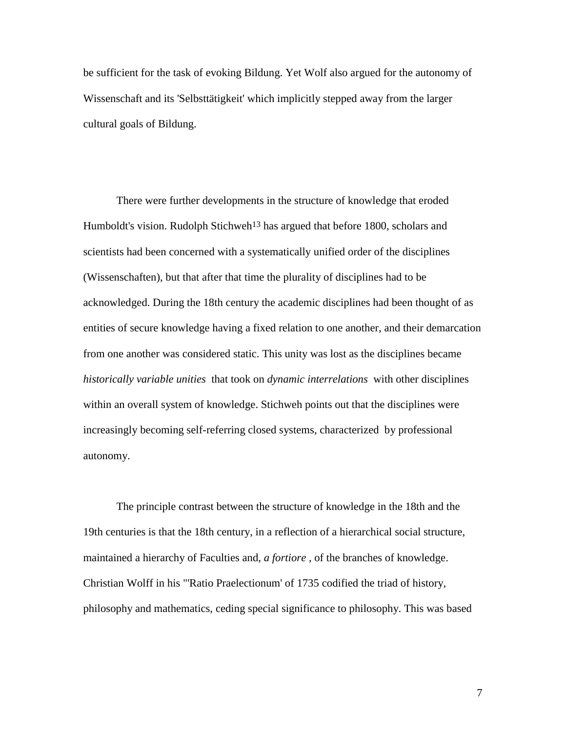be sufficient for the task of evoking Bildung. Yet Wolf also argued for the autonomy of Wissenschaft and its 'Selbsttätigkeit' which implicitly stepped away from the larger cultural goals of Bildung.

There were further developments in the structure of knowledge that eroded Humboldt's vision. Rudolph Stichweh<sup>13</sup> has argued that before 1800, scholars and scientists had been concerned with a systematically unified order of the disciplines (Wissenschaften), but that after that time the plurality of disciplines had to be acknowledged. During the 18th century the academic disciplines had been thought of as entities of secure knowledge having a fixed relation to one another, and their demarcation from one another was considered static. This unity was lost as the disciplines became *historically variable unities* that took on *dynamic interrelations* with other disciplines within an overall system of knowledge. Stichweh points out that the disciplines were increasingly becoming self-referring closed systems, characterized by professional autonomy.

The principle contrast between the structure of knowledge in the 18th and the 19th centuries is that the 18th century, in a reflection of a hierarchical social structure, maintained a hierarchy of Faculties and, *a fortiore* , of the branches of knowledge. Christian Wolff in his "'Ratio Praelectionum' of 1735 codified the triad of history, philosophy and mathematics, ceding special significance to philosophy. This was based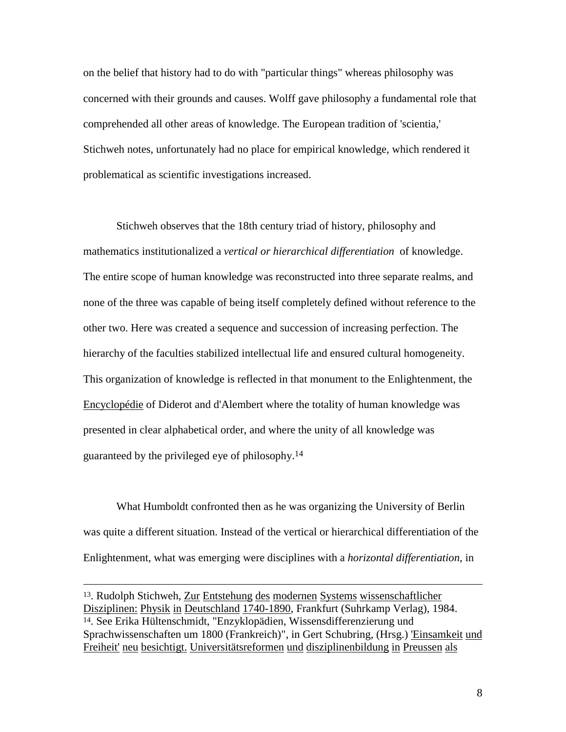on the belief that history had to do with "particular things" whereas philosophy was concerned with their grounds and causes. Wolff gave philosophy a fundamental role that comprehended all other areas of knowledge. The European tradition of 'scientia,' Stichweh notes, unfortunately had no place for empirical knowledge, which rendered it problematical as scientific investigations increased.

Stichweh observes that the 18th century triad of history, philosophy and mathematics institutionalized a *vertical or hierarchical differentiation* of knowledge. The entire scope of human knowledge was reconstructed into three separate realms, and none of the three was capable of being itself completely defined without reference to the other two. Here was created a sequence and succession of increasing perfection. The hierarchy of the faculties stabilized intellectual life and ensured cultural homogeneity. This organization of knowledge is reflected in that monument to the Enlightenment, the Encyclopédie of Diderot and d'Alembert where the totality of human knowledge was presented in clear alphabetical order, and where the unity of all knowledge was guaranteed by the privileged eye of philosophy.14

What Humboldt confronted then as he was organizing the University of Berlin was quite a different situation. Instead of the vertical or hierarchical differentiation of the Enlightenment, what was emerging were disciplines with a *horizontal differentiation*, in

 <sup>13.</sup> Rudolph Stichweh, Zur Entstehung des modernen Systems wissenschaftlicher Disziplinen: Physik in Deutschland 1740-1890, Frankfurt (Suhrkamp Verlag), 1984. 14. See Erika Hültenschmidt, "Enzyklopädien, Wissensdifferenzierung und Sprachwissenschaften um 1800 (Frankreich)", in Gert Schubring, (Hrsg.) 'Einsamkeit und Freiheit' neu besichtigt. Universitätsreformen und disziplinenbildung in Preussen als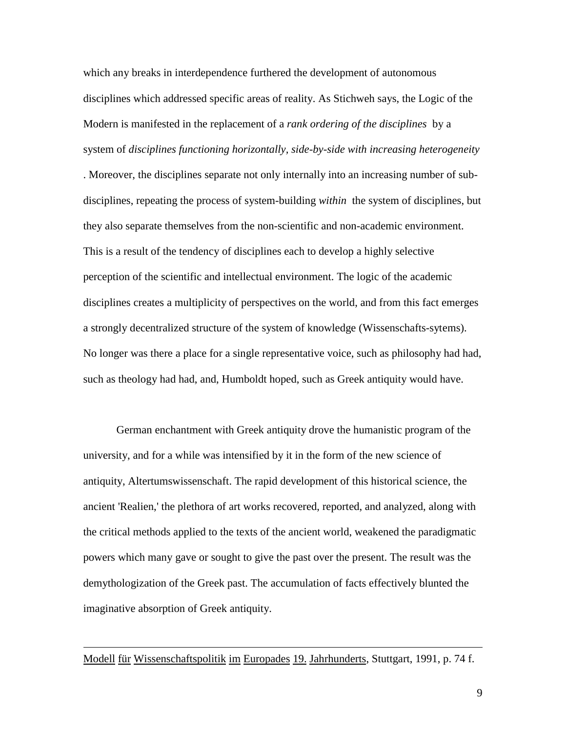which any breaks in interdependence furthered the development of autonomous disciplines which addressed specific areas of reality. As Stichweh says, the Logic of the Modern is manifested in the replacement of a *rank ordering of the disciplines* by a system of *disciplines functioning horizontally, side-by-side with increasing heterogeneity*

. Moreover, the disciplines separate not only internally into an increasing number of subdisciplines, repeating the process of system-building *within* the system of disciplines, but they also separate themselves from the non-scientific and non-academic environment. This is a result of the tendency of disciplines each to develop a highly selective perception of the scientific and intellectual environment. The logic of the academic disciplines creates a multiplicity of perspectives on the world, and from this fact emerges a strongly decentralized structure of the system of knowledge (Wissenschafts-sytems). No longer was there a place for a single representative voice, such as philosophy had had, such as theology had had, and, Humboldt hoped, such as Greek antiquity would have.

German enchantment with Greek antiquity drove the humanistic program of the university, and for a while was intensified by it in the form of the new science of antiquity, Altertumswissenschaft. The rapid development of this historical science, the ancient 'Realien,' the plethora of art works recovered, reported, and analyzed, along with the critical methods applied to the texts of the ancient world, weakened the paradigmatic powers which many gave or sought to give the past over the present. The result was the demythologization of the Greek past. The accumulation of facts effectively blunted the imaginative absorption of Greek antiquity.

## Modell für Wissenschaftspolitik im Europades 19. Jahrhunderts, Stuttgart, 1991, p. 74 f.

 $\overline{a}$ 

9